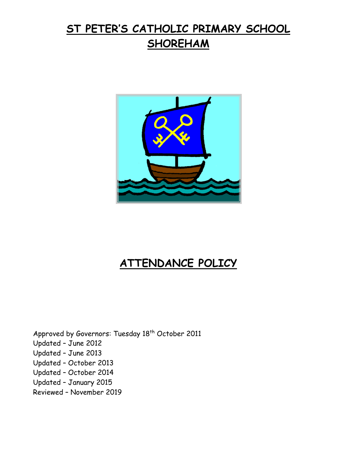# **ST PETER'S CATHOLIC PRIMARY SCHOOL SHOREHAM**



## **ATTENDANCE POLICY**

Approved by Governors: Tuesday 18<sup>th</sup> October 2011 Updated – June 2012 Updated – June 2013 Updated – October 2013 Updated – October 2014 Updated – January 2015 Reviewed – November 2019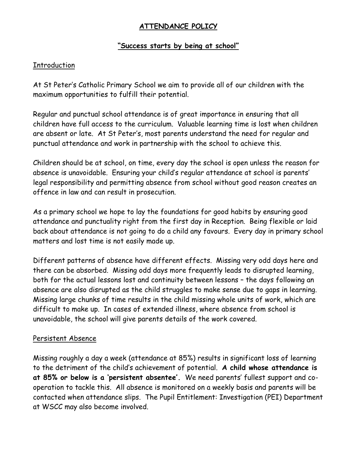## **ATTENDANCE POLICY**

#### **"Success starts by being at school"**

#### Introduction

At St Peter's Catholic Primary School we aim to provide all of our children with the maximum opportunities to fulfill their potential.

Regular and punctual school attendance is of great importance in ensuring that all children have full access to the curriculum. Valuable learning time is lost when children are absent or late. At St Peter's, most parents understand the need for regular and punctual attendance and work in partnership with the school to achieve this.

Children should be at school, on time, every day the school is open unless the reason for absence is unavoidable. Ensuring your child's regular attendance at school is parents' legal responsibility and permitting absence from school without good reason creates an offence in law and can result in prosecution.

As a primary school we hope to lay the foundations for good habits by ensuring good attendance and punctuality right from the first day in Reception. Being flexible or laid back about attendance is not going to do a child any favours. Every day in primary school matters and lost time is not easily made up.

Different patterns of absence have different effects. Missing very odd days here and there can be absorbed. Missing odd days more frequently leads to disrupted learning, both for the actual lessons lost and continuity between lessons – the days following an absence are also disrupted as the child struggles to make sense due to gaps in learning. Missing large chunks of time results in the child missing whole units of work, which are difficult to make up. In cases of extended illness, where absence from school is unavoidable, the school will give parents details of the work covered.

#### Persistent Absence

Missing roughly a day a week (attendance at 85%) results in significant loss of learning to the detriment of the child's achievement of potential. **A child whose attendance is at 85% or below is a 'persistent absentee'.** We need parents' fullest support and cooperation to tackle this. All absence is monitored on a weekly basis and parents will be contacted when attendance slips. The Pupil Entitlement: Investigation (PEI) Department at WSCC may also become involved.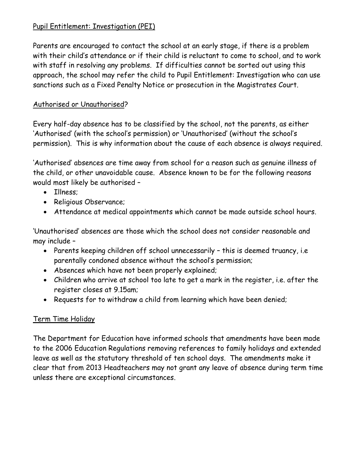## Pupil Entitlement: Investigation (PEI)

Parents are encouraged to contact the school at an early stage, if there is a problem with their child's attendance or if their child is reluctant to come to school, and to work with staff in resolving any problems. If difficulties cannot be sorted out using this approach, the school may refer the child to Pupil Entitlement: Investigation who can use sanctions such as a Fixed Penalty Notice or prosecution in the Magistrates Court.

## Authorised or Unauthorised?

Every half-day absence has to be classified by the school, not the parents, as either 'Authorised' (with the school's permission) or 'Unauthorised' (without the school's permission). This is why information about the cause of each absence is always required.

'Authorised' absences are time away from school for a reason such as genuine illness of the child, or other unavoidable cause. Absence known to be for the following reasons would most likely be authorised –

- Illness;
- Religious Observance;
- Attendance at medical appointments which cannot be made outside school hours.

'Unauthorised' absences are those which the school does not consider reasonable and may include –

- Parents keeping children off school unnecessarily this is deemed truancy, i.e parentally condoned absence without the school's permission;
- Absences which have not been properly explained;
- Children who arrive at school too late to get a mark in the register, i.e. after the register closes at 9.15am;
- Requests for to withdraw a child from learning which have been denied;

## Term Time Holiday

The Department for Education have informed schools that amendments have been made to the 2006 Education Regulations removing references to family holidays and extended leave as well as the statutory threshold of ten school days. The amendments make it clear that from 2013 Headteachers may not grant any leave of absence during term time unless there are exceptional circumstances.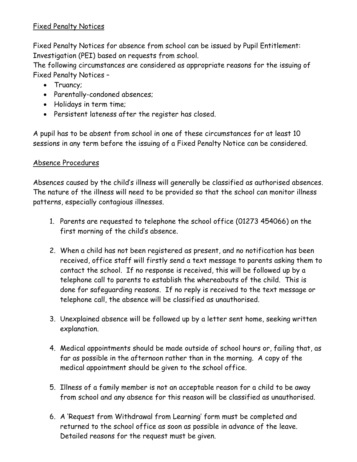## Fixed Penalty Notices

Fixed Penalty Notices for absence from school can be issued by Pupil Entitlement: Investigation (PEI) based on requests from school.

The following circumstances are considered as appropriate reasons for the issuing of Fixed Penalty Notices –

- Truancy;
- Parentally-condoned absences;
- Holidays in term time;
- Persistent lateness after the register has closed.

A pupil has to be absent from school in one of these circumstances for at least 10 sessions in any term before the issuing of a Fixed Penalty Notice can be considered.

#### Absence Procedures

Absences caused by the child's illness will generally be classified as authorised absences. The nature of the illness will need to be provided so that the school can monitor illness patterns, especially contagious illnesses.

- 1. Parents are requested to telephone the school office (01273 454066) on the first morning of the child's absence.
- 2. When a child has not been registered as present, and no notification has been received, office staff will firstly send a text message to parents asking them to contact the school. If no response is received, this will be followed up by a telephone call to parents to establish the whereabouts of the child. This is done for safeguarding reasons. If no reply is received to the text message or telephone call, the absence will be classified as unauthorised.
- 3. Unexplained absence will be followed up by a letter sent home, seeking written explanation.
- 4. Medical appointments should be made outside of school hours or, failing that, as far as possible in the afternoon rather than in the morning. A copy of the medical appointment should be given to the school office.
- 5. Illness of a family member is not an acceptable reason for a child to be away from school and any absence for this reason will be classified as unauthorised.
- 6. A 'Request from Withdrawal from Learning' form must be completed and returned to the school office as soon as possible in advance of the leave. Detailed reasons for the request must be given.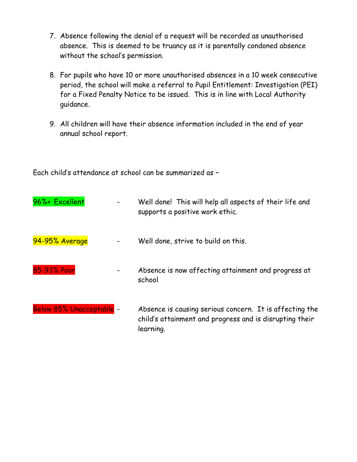- 7. Absence following the denial of a request will be recorded as unauthorised absence. This is deemed to be truancy as it is parentally condoned absence without the school's permission.
- 8. For pupils who have 10 or more unauthorised absences in a 10 week consecutive period, the school will make a referral to Pupil Entitlement: Investigation (PEI) for a Fixed Penalty Notice to be issued. This is in line with Local Authority guidance.
- 9. All children will have their absence information included in the end of year annual school report.

Each child's attendance at school can be summarized as –

| 96%+ Excellent           | Well done! This will help all aspects of their life and<br>supports a positive work ethic.                                      |
|--------------------------|---------------------------------------------------------------------------------------------------------------------------------|
| 94-95% Average           | Well done, strive to build on this.                                                                                             |
| 85-93% Poor              | Absence is now affecting attainment and progress at<br>school                                                                   |
| Below 85% Unacceptable - | Absence is causing serious concern. It is affecting the<br>child's attainment and progress and is disrupting their<br>learning. |